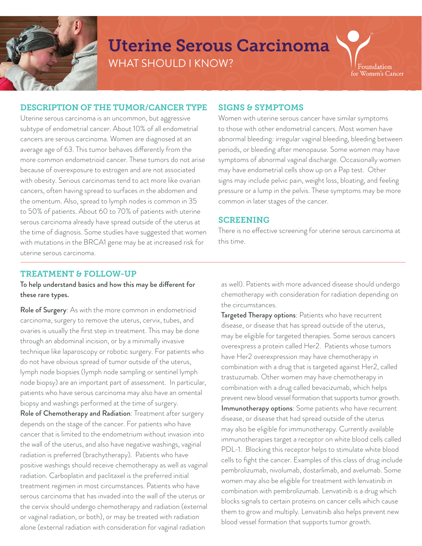

## Uterine Serous Carcinoma WHAT SHOULD I KNOW?

Foundation for Women's Cancer

#### DESCRIPTION OF THE TUMOR/CANCER TYPE

Uterine serous carcinoma is an uncommon, but aggressive subtype of endometrial cancer. About 10% of all endometrial cancers are serous carcinoma. Women are diagnosed at an average age of 63. This tumor behaves differently from the more common endometrioid cancer. These tumors do not arise because of overexposure to estrogen and are not associated with obesity. Serious carcinomas tend to act more like ovarian cancers, often having spread to surfaces in the abdomen and the omentum. Also, spread to lymph nodes is common in 35 to 50% of patients. About 60 to 70% of patients with uterine serous carcinoma already have spread outside of the uterus at the time of diagnosis. Some studies have suggested that women with mutations in the BRCA1 gene may be at increased risk for uterine serous carcinoma.

#### SIGNS & SYMPTOMS

Women with uterine serous cancer have similar symptoms to those with other endometrial cancers. Most women have abnormal bleeding: irregular vaginal bleeding, bleeding between periods, or bleeding after menopause. Some women may have symptoms of abnormal vaginal discharge. Occasionally women may have endometrial cells show up on a Pap test. Other signs may include pelvic pain, weight loss, bloating, and feeling pressure or a lump in the pelvis. These symptoms may be more common in later stages of the cancer.

#### SCREENING

There is no effective screening for uterine serous carcinoma at this time.

#### TREATMENT & FOLLOW-UP

To help understand basics and how this may be different for these rare types.

Role of Surgery: As with the more common in endometrioid carcinoma, surgery to remove the uterus, cervix, tubes, and ovaries is usually the first step in treatment. This may be done through an abdominal incision, or by a minimally invasive technique like laparoscopy or robotic surgery. For patients who do not have obvious spread of tumor outside of the uterus, lymph node biopsies (lymph node sampling or sentinel lymph node biopsy) are an important part of assessment. In particular, patients who have serous carcinoma may also have an omental biopsy and washings performed at the time of surgery.

Role of Chemotherapy and Radiation: Treatment after surgery depends on the stage of the cancer. For patients who have cancer that is limited to the endometrium without invasion into the wall of the uterus, and also have negative washings, vaginal radiation is preferred (brachytherapy). Patients who have positive washings should receive chemotherapy as well as vaginal radiation. Carboplatin and paclitaxel is the preferred initial treatment regimen in most circumstances. Patients who have serous carcinoma that has invaded into the wall of the uterus or the cervix should undergo chemotherapy and radiation (external or vaginal radiation, or both), or may be treated with radiation alone (external radiation with consideration for vaginal radiation

as well). Patients with more advanced disease should undergo chemotherapy with consideration for radiation depending on the circumstances.

Targeted Therapy options: Patients who have recurrent disease, or disease that has spread outside of the uterus, may be eligible for targeted therapies. Some serous cancers overexpress a protein called Her2. Patients whose tumors have Her2 overexpression may have chemotherapy in combination with a drug that is targeted against Her2, called trastuzumab. Other women may have chemotherapy in combination with a drug called bevacizumab, which helps prevent new blood vessel formation that supports tumor growth. Immunotherapy options: Some patients who have recurrent disease, or disease that had spread outside of the uterus may also be eligible for immunotherapy. Currently available immunotherapies target a receptor on white blood cells called PDL-1. Blocking this receptor helps to stimulate white blood cells to fight the cancer. Examples of this class of drug include pembrolizumab, nivolumab, dostarlimab, and avelumab. Some women may also be eligible for treatment with lenvatinib in combination with pembrolizumab. Lenvatinib is a drug which blocks signals to certain proteins on cancer cells which cause them to grow and multiply. Lenvatinib also helps prevent new blood vessel formation that supports tumor growth.